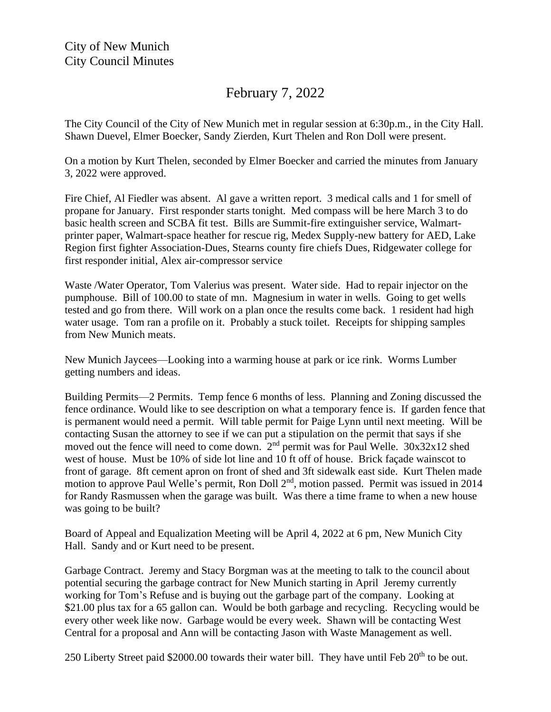## February 7, 2022

The City Council of the City of New Munich met in regular session at 6:30p.m., in the City Hall. Shawn Duevel, Elmer Boecker, Sandy Zierden, Kurt Thelen and Ron Doll were present.

On a motion by Kurt Thelen, seconded by Elmer Boecker and carried the minutes from January 3, 2022 were approved.

Fire Chief, Al Fiedler was absent. Al gave a written report. 3 medical calls and 1 for smell of propane for January. First responder starts tonight. Med compass will be here March 3 to do basic health screen and SCBA fit test. Bills are Summit-fire extinguisher service, Walmartprinter paper, Walmart-space heather for rescue rig, Medex Supply-new battery for AED, Lake Region first fighter Association-Dues, Stearns county fire chiefs Dues, Ridgewater college for first responder initial, Alex air-compressor service

Waste /Water Operator, Tom Valerius was present. Water side. Had to repair injector on the pumphouse. Bill of 100.00 to state of mn. Magnesium in water in wells. Going to get wells tested and go from there. Will work on a plan once the results come back. 1 resident had high water usage. Tom ran a profile on it. Probably a stuck toilet. Receipts for shipping samples from New Munich meats.

New Munich Jaycees—Looking into a warming house at park or ice rink. Worms Lumber getting numbers and ideas.

Building Permits—2 Permits. Temp fence 6 months of less. Planning and Zoning discussed the fence ordinance. Would like to see description on what a temporary fence is. If garden fence that is permanent would need a permit. Will table permit for Paige Lynn until next meeting. Will be contacting Susan the attorney to see if we can put a stipulation on the permit that says if she moved out the fence will need to come down.  $2<sup>nd</sup>$  permit was for Paul Welle.  $30x32x12$  shed west of house. Must be 10% of side lot line and 10 ft off of house. Brick façade wainscot to front of garage. 8ft cement apron on front of shed and 3ft sidewalk east side. Kurt Thelen made motion to approve Paul Welle's permit, Ron Doll 2<sup>nd</sup>, motion passed. Permit was issued in 2014 for Randy Rasmussen when the garage was built. Was there a time frame to when a new house was going to be built?

Board of Appeal and Equalization Meeting will be April 4, 2022 at 6 pm, New Munich City Hall. Sandy and or Kurt need to be present.

Garbage Contract. Jeremy and Stacy Borgman was at the meeting to talk to the council about potential securing the garbage contract for New Munich starting in April Jeremy currently working for Tom's Refuse and is buying out the garbage part of the company. Looking at \$21.00 plus tax for a 65 gallon can. Would be both garbage and recycling. Recycling would be every other week like now. Garbage would be every week. Shawn will be contacting West Central for a proposal and Ann will be contacting Jason with Waste Management as well.

250 Liberty Street paid \$2000.00 towards their water bill. They have until Feb  $20<sup>th</sup>$  to be out.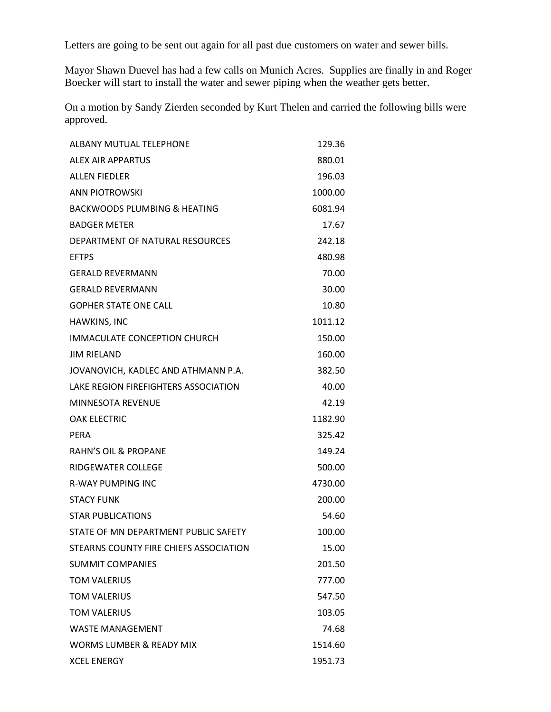Letters are going to be sent out again for all past due customers on water and sewer bills.

Mayor Shawn Duevel has had a few calls on Munich Acres. Supplies are finally in and Roger Boecker will start to install the water and sewer piping when the weather gets better.

On a motion by Sandy Zierden seconded by Kurt Thelen and carried the following bills were approved.

| <b>ALBANY MUTUAL TELEPHONE</b>          | 129.36  |
|-----------------------------------------|---------|
| ALEX AIR APPARTUS                       | 880.01  |
| <b>ALLEN FIEDLER</b>                    | 196.03  |
| <b>ANN PIOTROWSKI</b>                   | 1000.00 |
| <b>BACKWOODS PLUMBING &amp; HEATING</b> | 6081.94 |
| <b>BADGER METER</b>                     | 17.67   |
| DEPARTMENT OF NATURAL RESOURCES         | 242.18  |
| <b>EFTPS</b>                            | 480.98  |
| <b>GERALD REVERMANN</b>                 | 70.00   |
| <b>GERALD REVERMANN</b>                 | 30.00   |
| <b>GOPHER STATE ONE CALL</b>            | 10.80   |
| HAWKINS, INC                            | 1011.12 |
| IMMACULATE CONCEPTION CHURCH            | 150.00  |
| <b>JIM RIELAND</b>                      | 160.00  |
| JOVANOVICH, KADLEC AND ATHMANN P.A.     | 382.50  |
| LAKE REGION FIREFIGHTERS ASSOCIATION    | 40.00   |
| MINNESOTA REVENUE                       | 42.19   |
| <b>OAK ELECTRIC</b>                     | 1182.90 |
| PERA                                    | 325.42  |
| <b>RAHN'S OIL &amp; PROPANE</b>         | 149.24  |
| RIDGEWATER COLLEGE                      | 500.00  |
| <b>R-WAY PUMPING INC</b>                | 4730.00 |
| <b>STACY FUNK</b>                       | 200.00  |
| <b>STAR PUBLICATIONS</b>                | 54.60   |
| STATE OF MN DEPARTMENT PUBLIC SAFETY    | 100.00  |
| STEARNS COUNTY FIRE CHIEFS ASSOCIATION  | 15.00   |
| <b>SUMMIT COMPANIES</b>                 | 201.50  |
| <b>TOM VALERIUS</b>                     | 777.00  |
| <b>TOM VALERIUS</b>                     | 547.50  |
| <b>TOM VALERIUS</b>                     | 103.05  |
| <b>WASTE MANAGEMENT</b>                 | 74.68   |
| <b>WORMS LUMBER &amp; READY MIX</b>     | 1514.60 |
| <b>XCEL ENERGY</b>                      | 1951.73 |